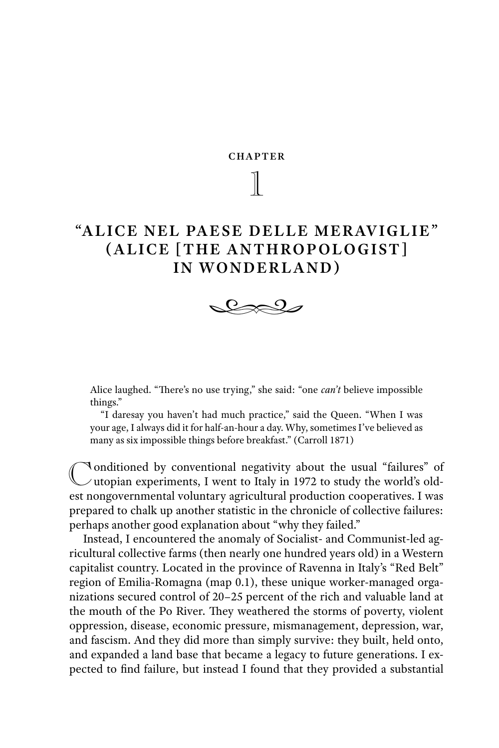$\mathbb{I}$ 

# "ALICE NEL PAESE DELLE MERAVIGLIE"<br>(ALICE [THE ANTHROPOLOGIST] **(IN WONDERLAND) IN WORDER COMMENTED**,



Alice laughed. "There's no use trying," she said: "one *can't* believe impossible things."

 "I daresay you haven't had much practice," said the Queen. "When I was your age, I always did it for half-an-hour a day. Why, sometimes I've believed as many as six impossible things before breakfast." (Carroll 1871)

Conditioned by conventional negativity about the usual "failures" of  $\cup$ utopian experiments, I went to Italy in 1972 to study the world's oldest nongovernmental voluntary agricultural production cooperatives. I was prepared to chalk up another statistic in the chronicle of collective failures: perhaps another good explanation about "why they failed."

Instead, I encountered the anomaly of Socialist- and Communist-led agricultural collective farms (then nearly one hundred years old) in a Western capitalist country. Located in the province of Ravenna in Italy's "Red Belt" region of Emilia-Romagna (map 0.1), these unique worker-managed organizations secured control of 20–25 percent of the rich and valuable land at the mouth of the Po River. They weathered the storms of poverty, violent oppression, disease, economic pressure, mismanagement, depression, war, and fascism. And they did more than simply survive: they built, held onto, and expanded a land base that became a legacy to future generations. I expected to find failure, but instead I found that they provided a substantial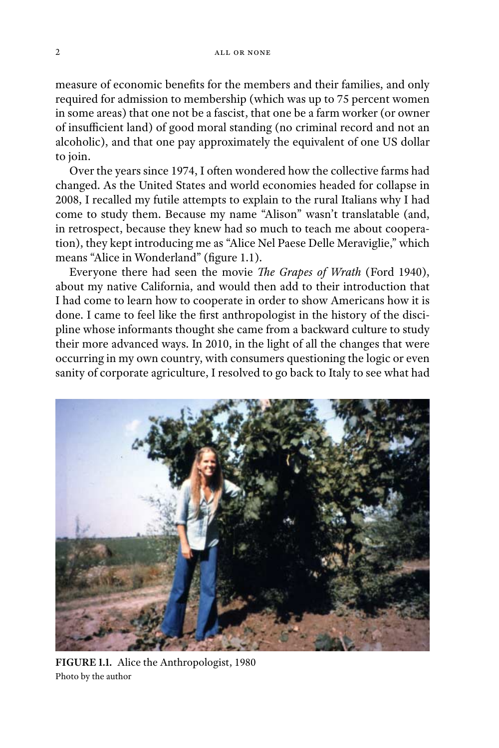measure of economic benefits for the members and their families, and only required for admission to membership (which was up to 75 percent women in some areas) that one not be a fascist, that one be a farm worker (or owner of insufficient land) of good moral standing (no criminal record and not an alcoholic), and that one pay approximately the equivalent of one US dollar to join.

Over the years since 1974, I often wondered how the collective farms had changed. As the United States and world economies headed for collapse in 2008, I recalled my futile attempts to explain to the rural Italians why I had come to study them. Because my name "Alison" wasn't translatable (and, in retrospect, because they knew had so much to teach me about cooperation), they kept introducing me as "Alice Nel Paese Delle Meraviglie," which means "Alice in Wonderland" (figure 1.1).

Everyone there had seen the movie *The Grapes of Wrath* (Ford 1940), about my native California, and would then add to their introduction that I had come to learn how to cooperate in order to show Americans how it is done. I came to feel like the first anthropologist in the history of the discipline whose informants thought she came from a backward culture to study their more advanced ways. In 2010, in the light of all the changes that were occurring in my own country, with consumers questioning the logic or even sanity of corporate agriculture, I resolved to go back to Italy to see what had



**FIGURE 1.1.** Alice the Anthropologist, 1980 Photo by the author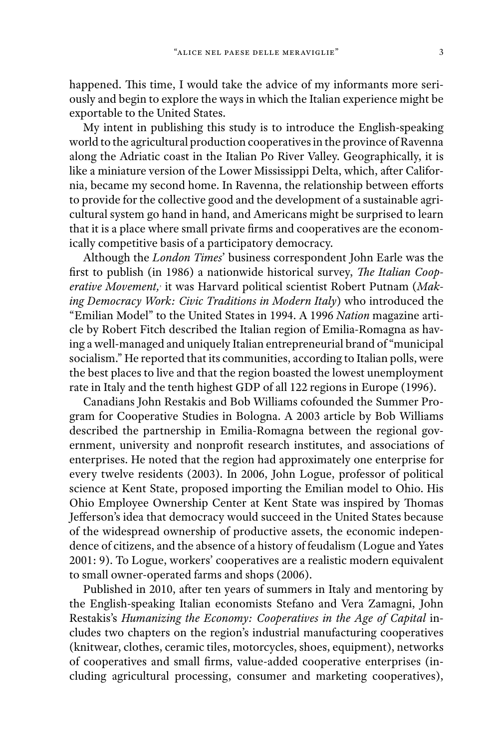happened. This time, I would take the advice of my informants more seriously and begin to explore the ways in which the Italian experience might be exportable to the United States.

My intent in publishing this study is to introduce the English-speaking world to the agricultural production cooperatives in the province of Ravenna along the Adriatic coast in the Italian Po River Valley. Geographically, it is like a miniature version of the Lower Mississippi Delta, which, after California, became my second home. In Ravenna, the relationship between efforts to provide for the collective good and the development of a sustainable agricultural system go hand in hand, and Americans might be surprised to learn that it is a place where small private firms and cooperatives are the economically competitive basis of a participatory democracy.

Although the *London Times*' business correspondent John Earle was the first to publish (in 1986) a nationwide historical survey, *The Italian Cooperative Movement,*, it was Harvard political scientist Robert Putnam (*Making Democracy Work: Civic Traditions in Modern Italy*) who introduced the "Emilian Model" to the United States in 1994. A 1996 *Nation* magazine article by Robert Fitch described the Italian region of Emilia-Romagna as having a well-managed and uniquely Italian entrepreneurial brand of "municipal socialism." He reported that its communities, according to Italian polls, were the best places to live and that the region boasted the lowest unemployment rate in Italy and the tenth highest GDP of all 122 regions in Europe (1996).

Canadians John Restakis and Bob Williams cofounded the Summer Program for Cooperative Studies in Bologna. A 2003 article by Bob Williams described the partnership in Emilia-Romagna between the regional government, university and nonprofit research institutes, and associations of enterprises. He noted that the region had approximately one enterprise for every twelve residents (2003). In 2006, John Logue, professor of political science at Kent State, proposed importing the Emilian model to Ohio. His Ohio Employee Ownership Center at Kent State was inspired by Thomas Jefferson's idea that democracy would succeed in the United States because of the widespread ownership of productive assets, the economic independence of citizens, and the absence of a history of feudalism (Logue and Yates 2001: 9). To Logue, workers' cooperatives are a realistic modern equivalent to small owner-operated farms and shops (2006).

Published in 2010, after ten years of summers in Italy and mentoring by the English-speaking Italian economists Stefano and Vera Zamagni, John Restakis's *Humanizing the Economy: Cooperatives in the Age of Capital* includes two chapters on the region's industrial manufacturing cooperatives (knitwear, clothes, ceramic tiles, motorcycles, shoes, equipment), networks of cooperatives and small firms, value-added cooperative enterprises (including agricultural processing, consumer and marketing cooperatives),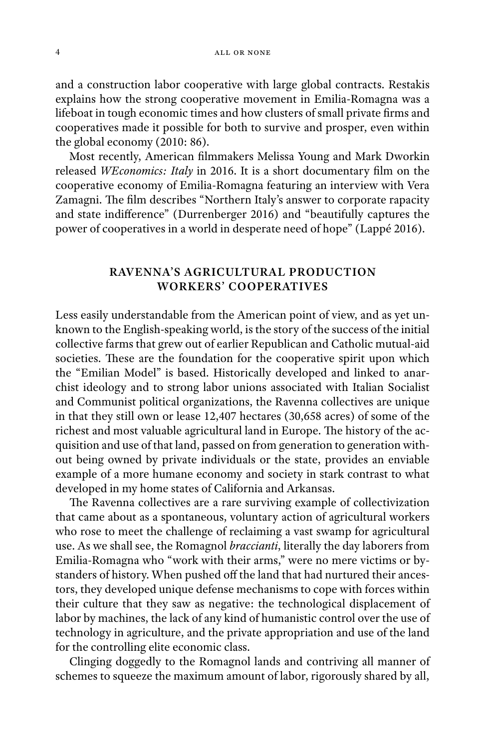and a construction labor cooperative with large global contracts. Restakis explains how the strong cooperative movement in Emilia-Romagna was a lifeboat in tough economic times and how clusters of small private firms and cooperatives made it possible for both to survive and prosper, even within the global economy (2010: 86).

Most recently, American filmmakers Melissa Young and Mark Dworkin released *WEconomics: Italy* in 2016. It is a short documentary film on the cooperative economy of Emilia-Romagna featuring an interview with Vera Zamagni. The film describes "Northern Italy's answer to corporate rapacity and state indifference" (Durrenberger 2016) and "beautifully captures the power of cooperatives in a world in desperate need of hope" (Lappé 2016).

#### **RAVENNA'S AGRICULTURAL PRODUCTION WORKERS' COOPERATIVES WORKERS' COOPERATIVES**

Less easily understandable from the American point of view, and as yet unknown to the English-speaking world, is the story of the success of the initial collective farms that grew out of earlier Republican and Catholic mutual-aid societies. These are the foundation for the cooperative spirit upon which the "Emilian Model" is based. Historically developed and linked to anarchist ideology and to strong labor unions associated with Italian Socialist and Communist political organizations, the Ravenna collectives are unique in that they still own or lease 12,407 hectares (30,658 acres) of some of the richest and most valuable agricultural land in Europe. The history of the acquisition and use of that land, passed on from generation to generation without being owned by private individuals or the state, provides an enviable example of a more humane economy and society in stark contrast to what developed in my home states of California and Arkansas.

The Ravenna collectives are a rare surviving example of collectivization that came about as a spontaneous, voluntary action of agricultural workers who rose to meet the challenge of reclaiming a vast swamp for agricultural use. As we shall see, the Romagnol *braccianti*, literally the day laborers from Emilia-Romagna who "work with their arms," were no mere victims or bystanders of history. When pushed off the land that had nurtured their ancestors, they developed unique defense mechanisms to cope with forces within their culture that they saw as negative: the technological displacement of labor by machines, the lack of any kind of humanistic control over the use of technology in agriculture, and the private appropriation and use of the land for the controlling elite economic class.

Clinging doggedly to the Romagnol lands and contriving all manner of schemes to squeeze the maximum amount of labor, rigorously shared by all,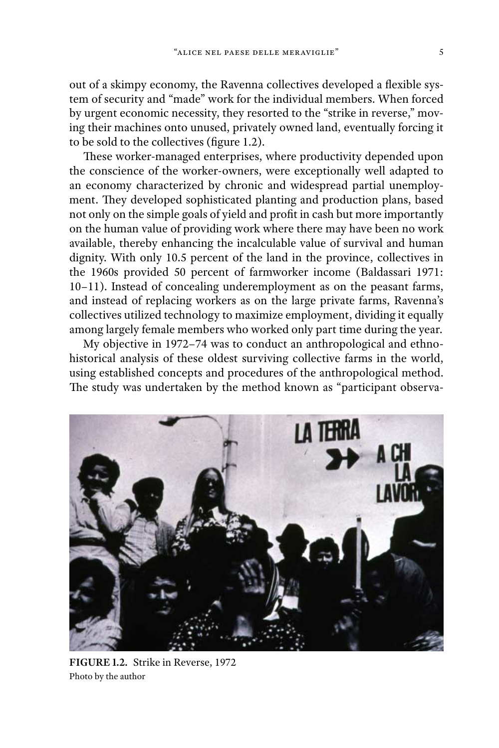out of a skimpy economy, the Ravenna collectives developed a flexible system of security and "made" work for the individual members. When forced by urgent economic necessity, they resorted to the "strike in reverse," moving their machines onto unused, privately owned land, eventually forcing it to be sold to the collectives (figure 1.2).

These worker-managed enterprises, where productivity depended upon the conscience of the worker-owners, were exceptionally well adapted to an economy characterized by chronic and widespread partial unemployment. They developed sophisticated planting and production plans, based not only on the simple goals of yield and profit in cash but more importantly on the human value of providing work where there may have been no work available, thereby enhancing the incalculable value of survival and human dignity. With only 10.5 percent of the land in the province, collectives in the 1960s provided 50 percent of farmworker income (Baldassari 1971: 10–11). Instead of concealing underemployment as on the peasant farms, and instead of replacing workers as on the large private farms, Ravenna's collectives utilized technology to maximize employment, dividing it equally among largely female members who worked only part time during the year.

My objective in 1972–74 was to conduct an anthropological and ethnohistorical analysis of these oldest surviving collective farms in the world, using established concepts and procedures of the anthropological method. The study was undertaken by the method known as "participant observa-



**FIGURE 1.2.** Strike in Reverse, 1972 Photo by the author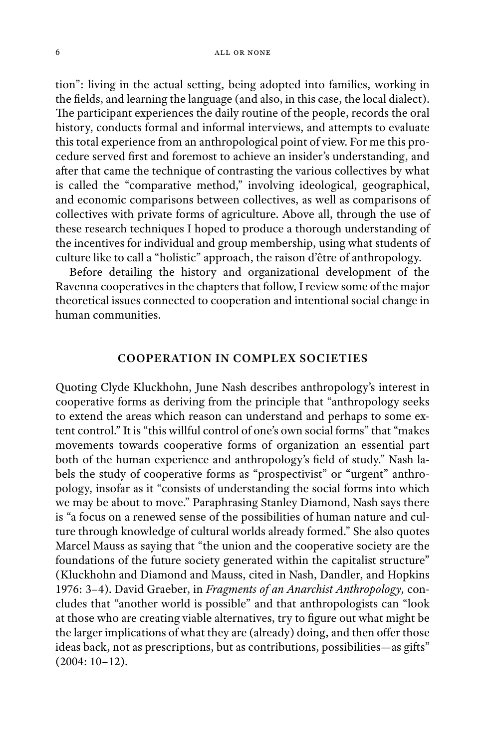tion": living in the actual setting, being adopted into families, working in the fields, and learning the language (and also, in this case, the local dialect). The participant experiences the daily routine of the people, records the oral history, conducts formal and informal interviews, and attempts to evaluate this total experience from an anthropological point of view. For me this procedure served first and foremost to achieve an insider's understanding, and after that came the technique of contrasting the various collectives by what is called the "comparative method," involving ideological, geographical, and economic comparisons between collectives, as well as comparisons of collectives with private forms of agriculture. Above all, through the use of these research techniques I hoped to produce a thorough understanding of the incentives for individual and group membership, using what students of culture like to call a "holistic" approach, the raison d'être of anthropology.

Before detailing the history and organizational development of the Ravenna cooperatives in the chapters that follow, I review some of the major theoretical issues connected to cooperation and intentional social change in human communities.

### **COOPERATION IN CONTRACT SOCIETIES**

Quoting Clyde Kluckhohn, June Nash describes anthropology's interest in cooperative forms as deriving from the principle that "anthropology seeks to extend the areas which reason can understand and perhaps to some extent control." It is "this willful control of one's own social forms" that "makes movements towards cooperative forms of organization an essential part both of the human experience and anthropology's field of study." Nash labels the study of cooperative forms as "prospectivist" or "urgent" anthropology, insofar as it "consists of understanding the social forms into which we may be about to move." Paraphrasing Stanley Diamond, Nash says there is "a focus on a renewed sense of the possibilities of human nature and culture through knowledge of cultural worlds already formed." She also quotes Marcel Mauss as saying that "the union and the cooperative society are the foundations of the future society generated within the capitalist structure" (Kluckhohn and Diamond and Mauss, cited in Nash, Dandler, and Hopkins 1976: 3–4). David Graeber, in *Fragments of an Anarchist Anthropology,* concludes that "another world is possible" and that anthropologists can "look at those who are creating viable alternatives, try to figure out what might be the larger implications of what they are (already) doing, and then offer those ideas back, not as prescriptions, but as contributions, possibilities—as gifts" (2004: 10–12).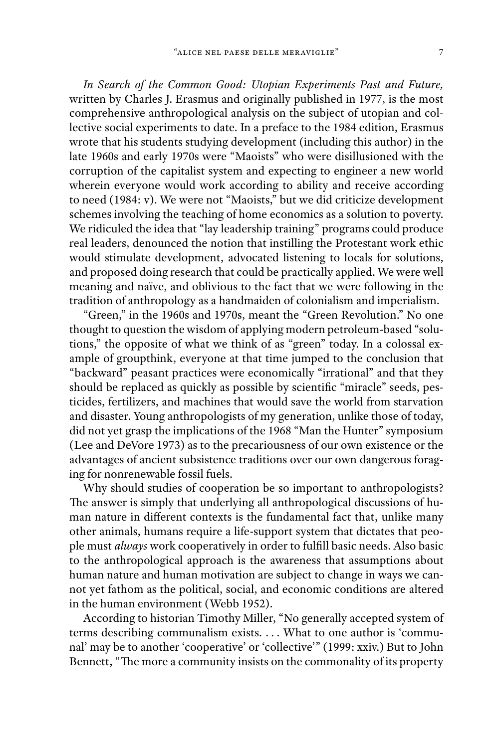*In Search of the Common Good: Utopian Experiments Past and Future,* written by Charles J. Erasmus and originally published in 1977, is the most comprehensive anthropological analysis on the subject of utopian and collective social experiments to date. In a preface to the 1984 edition, Erasmus wrote that his students studying development (including this author) in the late 1960s and early 1970s were "Maoists" who were disillusioned with the corruption of the capitalist system and expecting to engineer a new world wherein everyone would work according to ability and receive according to need (1984: v). We were not "Maoists," but we did criticize development schemes involving the teaching of home economics as a solution to poverty. We ridiculed the idea that "lay leadership training" programs could produce real leaders, denounced the notion that instilling the Protestant work ethic would stimulate development, advocated listening to locals for solutions, and proposed doing research that could be practically applied. We were well meaning and naïve, and oblivious to the fact that we were following in the tradition of anthropology as a handmaiden of colonialism and imperialism.

"Green," in the 1960s and 1970s, meant the "Green Revolution." No one thought to question the wisdom of applying modern petroleum-based "solutions," the opposite of what we think of as "green" today. In a colossal example of groupthink, everyone at that time jumped to the conclusion that "backward" peasant practices were economically "irrational" and that they should be replaced as quickly as possible by scientific "miracle" seeds, pesticides, fertilizers, and machines that would save the world from starvation and disaster. Young anthropologists of my generation, unlike those of today, did not yet grasp the implications of the 1968 "Man the Hunter" symposium (Lee and DeVore 1973) as to the precariousness of our own existence or the advantages of ancient subsistence traditions over our own dangerous foraging for nonrenewable fossil fuels.

Why should studies of cooperation be so important to anthropologists? The answer is simply that underlying all anthropological discussions of human nature in different contexts is the fundamental fact that, unlike many other animals, humans require a life-support system that dictates that people must *always* work cooperatively in order to fulfill basic needs. Also basic to the anthropological approach is the awareness that assumptions about human nature and human motivation are subject to change in ways we cannot yet fathom as the political, social, and economic conditions are altered in the human environment (Webb 1952).

According to historian Timothy Miller, "No generally accepted system of terms describing communalism exists. . . . What to one author is 'communal' may be to another 'cooperative' or 'collective'" (1999: xxiv.) But to John Bennett, "The more a community insists on the commonality of its property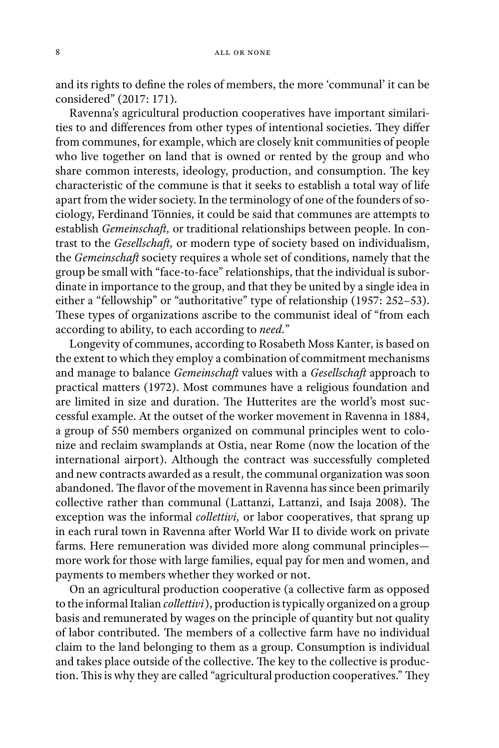and its rights to define the roles of members, the more 'communal' it can be considered" (2017: 171).

Ravenna's agricultural production cooperatives have important similarities to and differences from other types of intentional societies. They differ from communes, for example, which are closely knit communities of people who live together on land that is owned or rented by the group and who share common interests, ideology, production, and consumption. The key characteristic of the commune is that it seeks to establish a total way of life apart from the wider society. In the terminology of one of the founders of sociology, Ferdinand Tönnies, it could be said that communes are attempts to establish *Gemeinschaft*, or traditional relationships between people. In contrast to the *Gesellschaft*, or modern type of society based on individualism, the *Gemeinschaft* society requires a whole set of conditions, namely that the group be small with "face-to-face" relationships, that the individual is subordinate in importance to the group, and that they be united by a single idea in either a "fellowship" or "authoritative" type of relationship (1957: 252–53). These types of organizations ascribe to the communist ideal of "from each" according to ability, to each according to *need.*"

Longevity of communes, according to Rosabeth Moss Kanter, is based on the extent to which they employ a combination of commitment mechanisms and manage to balance *Gemeinschaft* values with a *Gesellschaft* approach to practical matters (1972). Most communes have a religious foundation and are limited in size and duration. The Hutterites are the world's most successful example. At the outset of the worker movement in Ravenna in 1884, a group of 550 members organized on communal principles went to colonize and reclaim swamplands at Ostia, near Rome (now the location of the international airport). Although the contract was successfully completed and new contracts awarded as a result, the communal organization was soon abandoned. The flavor of the movement in Ravenna has since been primarily collective rather than communal (Lattanzi, Lattanzi, and Isaja 2008). The exception was the informal *collettivi,* or labor cooperatives, that sprang up in each rural town in Ravenna after World War II to divide work on private farms. Here remuneration was divided more along communal principles more work for those with large families, equal pay for men and women, and payments to members whether they worked or not.

On an agricultural production cooperative (a collective farm as opposed to the informal Italian *collettivi*), production is typically organized on a group basis and remunerated by wages on the principle of quantity but not quality of labor contributed. The members of a collective farm have no individual claim to the land belonging to them as a group. Consumption is individual and takes place outside of the collective. The key to the collective is production. This is why they are called "agricultural production cooperatives." They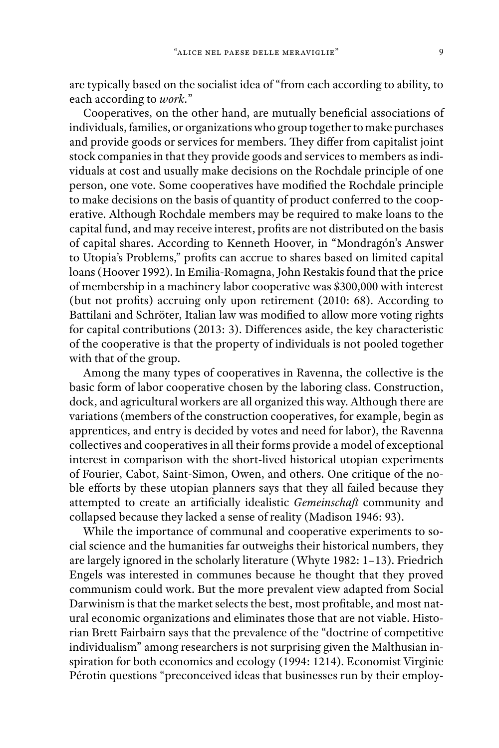are typically based on the socialist idea of "from each according to ability, to each according to *work.*"

Cooperatives, on the other hand, are mutually beneficial associations of individuals, families, or organizations who group together to make purchases and provide goods or services for members. They differ from capitalist joint stock companies in that they provide goods and services to members as individuals at cost and usually make decisions on the Rochdale principle of one person, one vote. Some cooperatives have modified the Rochdale principle to make decisions on the basis of quantity of product conferred to the cooperative. Although Rochdale members may be required to make loans to the capital fund, and may receive interest, profits are not distributed on the basis of capital shares. According to Kenneth Hoover, in "Mondragón's Answer to Utopia's Problems," profits can accrue to shares based on limited capital loans (Hoover 1992). In Emilia-Romagna, John Restakis found that the price of membership in a machinery labor cooperative was \$300,000 with interest (but not profits) accruing only upon retirement (2010: 68). According to Battilani and Schröter, Italian law was modified to allow more voting rights for capital contributions (2013: 3). Differences aside, the key characteristic of the cooperative is that the property of individuals is not pooled together with that of the group.

Among the many types of cooperatives in Ravenna, the collective is the basic form of labor cooperative chosen by the laboring class. Construction, dock, and agricultural workers are all organized this way. Although there are variations (members of the construction cooperatives, for example, begin as apprentices, and entry is decided by votes and need for labor), the Ravenna collectives and cooperatives in all their forms provide a model of exceptional interest in comparison with the short-lived historical utopian experiments of Fourier, Cabot, Saint-Simon, Owen, and others. One critique of the noble efforts by these utopian planners says that they all failed because they attempted to create an artificially idealistic *Gemeinschaft* community and collapsed because they lacked a sense of reality (Madison 1946: 93).

While the importance of communal and cooperative experiments to social science and the humanities far outweighs their historical numbers, they are largely ignored in the scholarly literature (Whyte 1982: 1–13). Friedrich Engels was interested in communes because he thought that they proved communism could work. But the more prevalent view adapted from Social Darwinism is that the market selects the best, most profitable, and most natural economic organizations and eliminates those that are not viable. Historian Brett Fairbairn says that the prevalence of the "doctrine of competitive individualism" among researchers is not surprising given the Malthusian inspiration for both economics and ecology (1994: 1214). Economist Virginie Pérotin questions "preconceived ideas that businesses run by their employ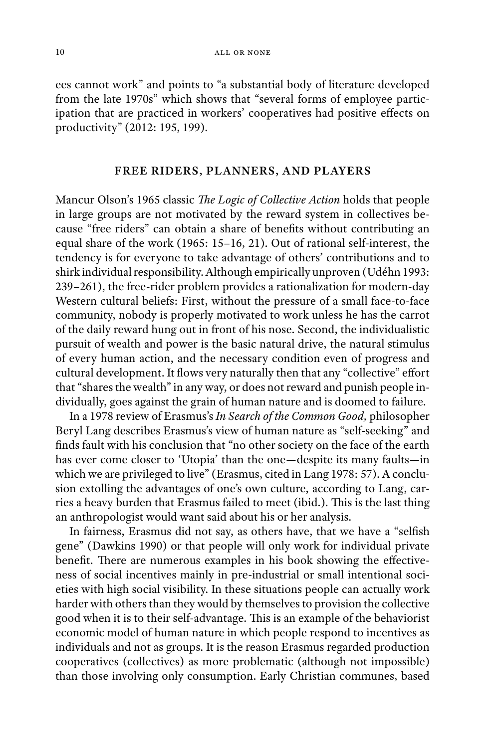ees cannot work" and points to "a substantial body of literature developed from the late 1970s" which shows that "several forms of employee participation that are practiced in workers' cooperatives had positive effects on productivity" (2012: 195, 199).

## **FREE RIDERS, PLANNERS, AND PLAYERS**

Mancur Olson's 1965 classic *The Logic of Collective Action* holds that people in large groups are not motivated by the reward system in collectives because "free riders" can obtain a share of benefits without contributing an equal share of the work (1965: 15–16, 21). Out of rational self-interest, the tendency is for everyone to take advantage of others' contributions and to shirk individual responsibility. Although empirically unproven (Udéhn 1993: 239–261), the free-rider problem provides a rationalization for modern-day Western cultural beliefs: First, without the pressure of a small face-to-face community, nobody is properly motivated to work unless he has the carrot of the daily reward hung out in front of his nose. Second, the individualistic pursuit of wealth and power is the basic natural drive, the natural stimulus of every human action, and the necessary condition even of progress and cultural development. It flows very naturally then that any "collective" effort that "shares the wealth" in any way, or does not reward and punish people individually, goes against the grain of human nature and is doomed to failure.

In a 1978 review of Erasmus's *In Search of the Common Good,* philosopher Beryl Lang describes Erasmus's view of human nature as "self-seeking" and finds fault with his conclusion that "no other society on the face of the earth has ever come closer to 'Utopia' than the one—despite its many faults—in which we are privileged to live" (Erasmus, cited in Lang 1978: 57). A conclusion extolling the advantages of one's own culture, according to Lang, carries a heavy burden that Erasmus failed to meet (ibid.). This is the last thing an anthropologist would want said about his or her analysis.

In fairness, Erasmus did not say, as others have, that we have a "selfish" gene" (Dawkins 1990) or that people will only work for individual private benefit. There are numerous examples in his book showing the effectiveness of social incentives mainly in pre-industrial or small intentional societies with high social visibility. In these situations people can actually work harder with others than they would by themselves to provision the collective good when it is to their self-advantage. This is an example of the behaviorist economic model of human nature in which people respond to incentives as individuals and not as groups. It is the reason Erasmus regarded production cooperatives (collectives) as more problematic (although not impossible) than those involving only consumption. Early Christian communes, based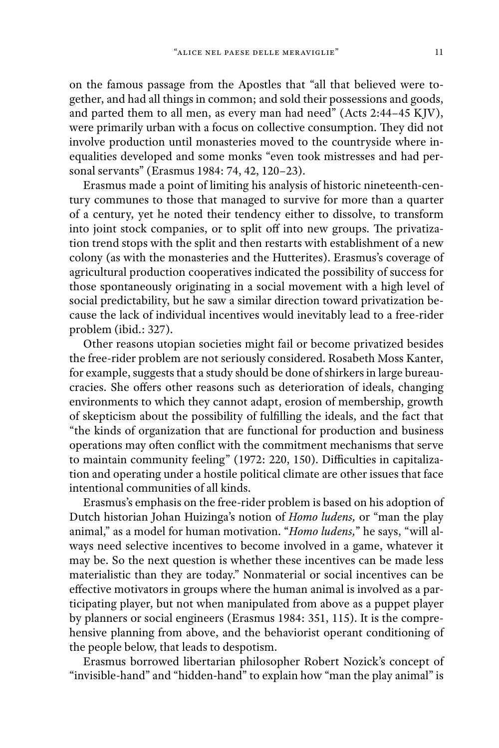on the famous passage from the Apostles that "all that believed were together, and had all things in common; and sold their possessions and goods, and parted them to all men, as every man had need" (Acts 2:44–45 KJV), were primarily urban with a focus on collective consumption. They did not involve production until monasteries moved to the countryside where inequalities developed and some monks "even took mistresses and had personal servants" (Erasmus 1984: 74, 42, 120–23).

Erasmus made a point of limiting his analysis of historic nineteenth-century communes to those that managed to survive for more than a quarter of a century, yet he noted their tendency either to dissolve, to transform into joint stock companies, or to split off into new groups. The privatization trend stops with the split and then restarts with establishment of a new colony (as with the monasteries and the Hutterites). Erasmus's coverage of agricultural production cooperatives indicated the possibility of success for those spontaneously originating in a social movement with a high level of social predictability, but he saw a similar direction toward privatization because the lack of individual incentives would inevitably lead to a free-rider problem (ibid.: 327).

Other reasons utopian societies might fail or become privatized besides the free-rider problem are not seriously considered. Rosabeth Moss Kanter, for example, suggests that a study should be done of shirkers in large bureaucracies. She offers other reasons such as deterioration of ideals, changing environments to which they cannot adapt, erosion of membership, growth of skepticism about the possibility of fulfilling the ideals, and the fact that "the kinds of organization that are functional for production and business operations may often conflict with the commitment mechanisms that serve to maintain community feeling" (1972: 220, 150). Difficulties in capitalization and operating under a hostile political climate are other issues that face intentional communities of all kinds.

Erasmus's emphasis on the free-rider problem is based on his adoption of Dutch historian Johan Huizinga's notion of *Homo ludens,* or "man the play animal," as a model for human motivation. "*Homo ludens,*" he says, "will always need selective incentives to become involved in a game, whatever it may be. So the next question is whether these incentives can be made less materialistic than they are today." Nonmaterial or social incentives can be effective motivators in groups where the human animal is involved as a participating player, but not when manipulated from above as a puppet player by planners or social engineers (Erasmus 1984: 351, 115). It is the comprehensive planning from above, and the behaviorist operant conditioning of the people below, that leads to despotism.

Erasmus borrowed libertarian philosopher Robert Nozick's concept of "invisible-hand" and "hidden-hand" to explain how "man the play animal" is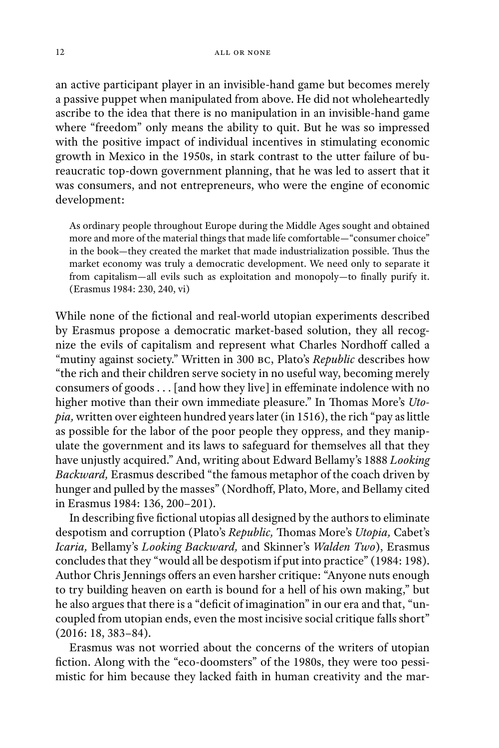an active participant player in an invisible-hand game but becomes merely a passive puppet when manipulated from above. He did not wholeheartedly ascribe to the idea that there is no manipulation in an invisible-hand game where "freedom" only means the ability to quit. But he was so impressed with the positive impact of individual incentives in stimulating economic growth in Mexico in the 1950s, in stark contrast to the utter failure of bureaucratic top-down government planning, that he was led to assert that it was consumers, and not entrepreneurs, who were the engine of economic development:

As ordinary people throughout Europe during the Middle Ages sought and obtained more and more of the material things that made life comfortable—"consumer choice" in the book—they created the market that made industrialization possible. Thus the market economy was truly a democratic development. We need only to separate it from capitalism—all evils such as exploitation and monopoly—to finally purify it. (Erasmus 1984: 230, 240, vi)

While none of the fictional and real-world utopian experiments described by Erasmus propose a democratic market-based solution, they all recognize the evils of capitalism and represent what Charles Nordhoff called a "mutiny against society." Written in 300 bc, Plato's *Republic* describes how "the rich and their children serve society in no useful way, becoming merely consumers of goods  $\dots$  [and how they live] in effeminate indolence with no higher motive than their own immediate pleasure." In Thomas More's *Utopia,* written over eighteen hundred years later (in 1516), the rich "pay as little as possible for the labor of the poor people they oppress, and they manipulate the government and its laws to safeguard for themselves all that they have unjustly acquired." And, writing about Edward Bellamy's 1888 *Looking Backward,* Erasmus described "the famous metaphor of the coach driven by hunger and pulled by the masses" (Nordhoff, Plato, More, and Bellamy cited in Erasmus 1984: 136, 200–201).

In describing five fictional utopias all designed by the authors to eliminate despotism and corruption (Plato's *Republic*, Thomas More's *Utopia*, Cabet's *Icaria,* Bellamy's *Looking Backward,* and Skinner's *Walden Two*), Erasmus concludes that they "would all be despotism if put into practice" (1984: 198). Author Chris Jennings offers an even harsher critique: "Anyone nuts enough to try building heaven on earth is bound for a hell of his own making," but he also argues that there is a "deficit of imagination" in our era and that, "uncoupled from utopian ends, even the most incisive social critique falls short" (2016: 18, 383–84).

Erasmus was not worried about the concerns of the writers of utopian fiction. Along with the "eco-doomsters" of the 1980s, they were too pessimistic for him because they lacked faith in human creativity and the mar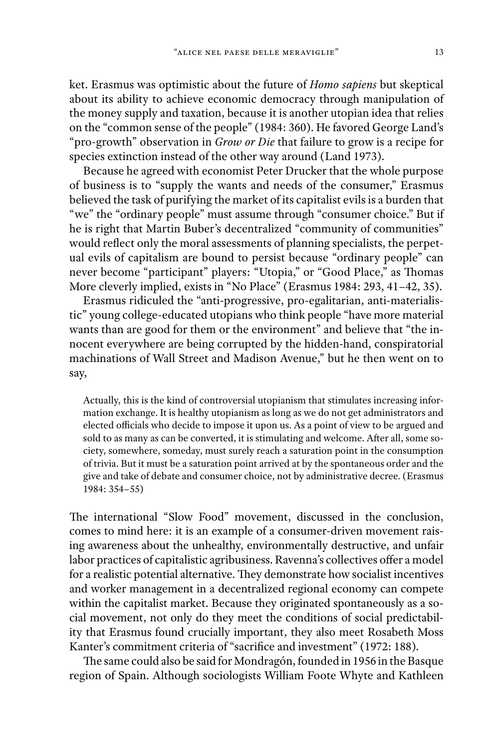ket. Erasmus was optimistic about the future of *Homo sapiens* but skeptical about its ability to achieve economic democracy through manipulation of the money supply and taxation, because it is another utopian idea that relies on the "common sense of the people" (1984: 360). He favored George Land's "pro-growth" observation in *Grow or Die* that failure to grow is a recipe for species extinction instead of the other way around (Land 1973).

Because he agreed with economist Peter Drucker that the whole purpose of business is to "supply the wants and needs of the consumer," Erasmus believed the task of purifying the market of its capitalist evils is a burden that "we" the "ordinary people" must assume through "consumer choice." But if he is right that Martin Buber's decentralized "community of communities" would reflect only the moral assessments of planning specialists, the perpetual evils of capitalism are bound to persist because "ordinary people" can never become "participant" players: "Utopia," or "Good Place," as Thomas More cleverly implied, exists in "No Place" (Erasmus 1984: 293, 41–42, 35).

Erasmus ridiculed the "anti-progressive, pro-egalitarian, anti-materialistic" young college-educated utopians who think people "have more material wants than are good for them or the environment" and believe that "the innocent everywhere are being corrupted by the hidden-hand, conspiratorial machinations of Wall Street and Madison Avenue," but he then went on to say,

Actually, this is the kind of controversial utopianism that stimulates increasing information exchange. It is healthy utopianism as long as we do not get administrators and elected officials who decide to impose it upon us. As a point of view to be argued and sold to as many as can be converted, it is stimulating and welcome. After all, some society, somewhere, someday, must surely reach a saturation point in the consumption of trivia. But it must be a saturation point arrived at by the spontaneous order and the give and take of debate and consumer choice, not by administrative decree. (Erasmus 1984: 354–55)

The international "Slow Food" movement, discussed in the conclusion, comes to mind here: it is an example of a consumer-driven movement raising awareness about the unhealthy, environmentally destructive, and unfair labor practices of capitalistic agribusiness. Ravenna's collectives offer a model for a realistic potential alternative. They demonstrate how socialist incentives and worker management in a decentralized regional economy can compete within the capitalist market. Because they originated spontaneously as a social movement, not only do they meet the conditions of social predictability that Erasmus found crucially important, they also meet Rosabeth Moss Kanter's commitment criteria of "sacrifice and investment" (1972: 188).

The same could also be said for Mondragón, founded in 1956 in the Basque region of Spain. Although sociologists William Foote Whyte and Kathleen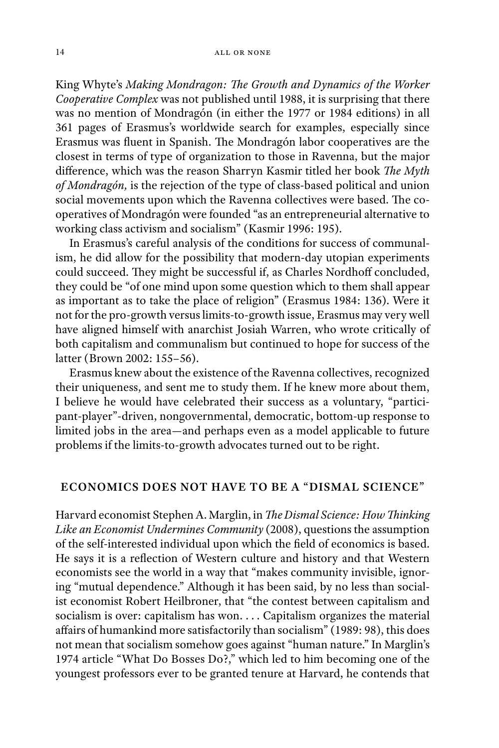King Whyte's Making Mondragon: The Growth and Dynamics of the Worker *Cooperative Complex* was not published until 1988, it is surprising that there was no mention of Mondragón (in either the 1977 or 1984 editions) in all 361 pages of Erasmus's worldwide search for examples, especially since Erasmus was fluent in Spanish. The Mondragón labor cooperatives are the closest in terms of type of organization to those in Ravenna, but the major difference, which was the reason Sharryn Kasmir titled her book The Myth *of Mondragón,* is the rejection of the type of class-based political and union social movements upon which the Ravenna collectives were based. The cooperatives of Mondragón were founded "as an entrepreneurial alternative to working class activism and socialism" (Kasmir 1996: 195).

In Erasmus's careful analysis of the conditions for success of communalism, he did allow for the possibility that modern-day utopian experiments could succeed. They might be successful if, as Charles Nordhoff concluded, they could be "of one mind upon some question which to them shall appear as important as to take the place of religion" (Erasmus 1984: 136). Were it not for the pro-growth versus limits-to-growth issue, Erasmus may very well have aligned himself with anarchist Josiah Warren, who wrote critically of both capitalism and communalism but continued to hope for success of the latter (Brown 2002: 155–56).

Erasmus knew about the existence of the Ravenna collectives, recognized their uniqueness, and sent me to study them. If he knew more about them, I believe he would have celebrated their success as a voluntary, "participant-player"-driven, nongovernmental, democratic, bottom-up response to limited jobs in the area—and perhaps even as a model applicable to future problems if the limits-to-growth advocates turned out to be right.

#### **ECONOMICS DOES NOT HAVE TO BE A "DISMAL SCIENCE" ECONOMICS DOES NOT HAVE TO BE A "DISMAL SCIENCE"**

Harvard economist Stephen A. Marglin, in *The Dismal Science: How Thinking Like an Economist Undermines Community* (2008), questions the assumption of the self-interested individual upon which the field of economics is based. He says it is a reflection of Western culture and history and that Western economists see the world in a way that "makes community invisible, ignoring "mutual dependence." Although it has been said, by no less than socialist economist Robert Heilbroner, that "the contest between capitalism and socialism is over: capitalism has won. . . . Capitalism organizes the material affairs of humankind more satisfactorily than socialism" (1989: 98), this does not mean that socialism somehow goes against "human nature." In Marglin's 1974 article "What Do Bosses Do?," which led to him becoming one of the youngest professors ever to be granted tenure at Harvard, he contends that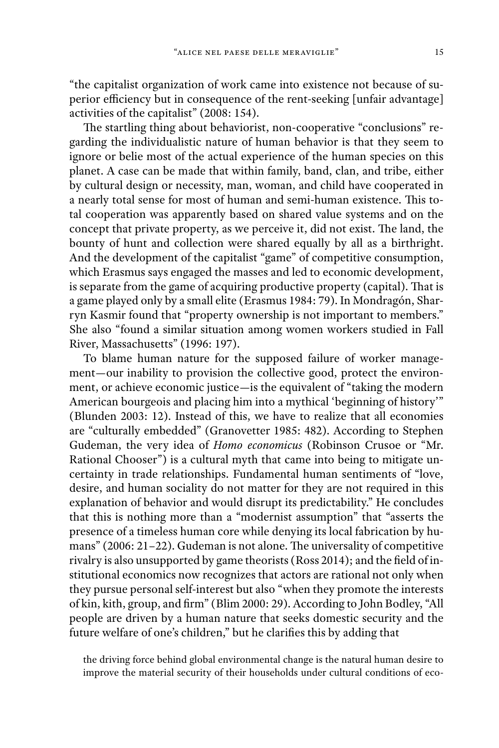"the capitalist organization of work came into existence not because of superior efficiency but in consequence of the rent-seeking [unfair advantage] activities of the capitalist" (2008: 154).

The startling thing about behaviorist, non-cooperative "conclusions" regarding the individualistic nature of human behavior is that they seem to ignore or belie most of the actual experience of the human species on this planet. A case can be made that within family, band, clan, and tribe, either by cultural design or necessity, man, woman, and child have cooperated in a nearly total sense for most of human and semi-human existence. This total cooperation was apparently based on shared value systems and on the concept that private property, as we perceive it, did not exist. The land, the bounty of hunt and collection were shared equally by all as a birthright. And the development of the capitalist "game" of competitive consumption, which Erasmus says engaged the masses and led to economic development, is separate from the game of acquiring productive property (capital). That is a game played only by a small elite (Erasmus 1984: 79). In Mondragón, Sharryn Kasmir found that "property ownership is not important to members." She also "found a similar situation among women workers studied in Fall River, Massachusetts" (1996: 197).

To blame human nature for the supposed failure of worker management—our inability to provision the collective good, protect the environment, or achieve economic justice—is the equivalent of "taking the modern American bourgeois and placing him into a mythical 'beginning of history'" (Blunden 2003: 12). Instead of this, we have to realize that all economies are "culturally embedded" (Granovetter 1985: 482). According to Stephen Gudeman, the very idea of *Homo economicus* (Robinson Crusoe or "Mr. Rational Chooser") is a cultural myth that came into being to mitigate uncertainty in trade relationships. Fundamental human sentiments of "love, desire, and human sociality do not matter for they are not required in this explanation of behavior and would disrupt its predictability." He concludes that this is nothing more than a "modernist assumption" that "asserts the presence of a timeless human core while denying its local fabrication by humans" (2006:  $21-22$ ). Gudeman is not alone. The universality of competitive rivalry is also unsupported by game theorists (Ross 2014); and the field of institutional economics now recognizes that actors are rational not only when they pursue personal self-interest but also "when they promote the interests of kin, kith, group, and firm" (Blim 2000: 29). According to John Bodley, "All people are driven by a human nature that seeks domestic security and the future welfare of one's children," but he clarifies this by adding that

the driving force behind global environmental change is the natural human desire to improve the material security of their households under cultural conditions of eco-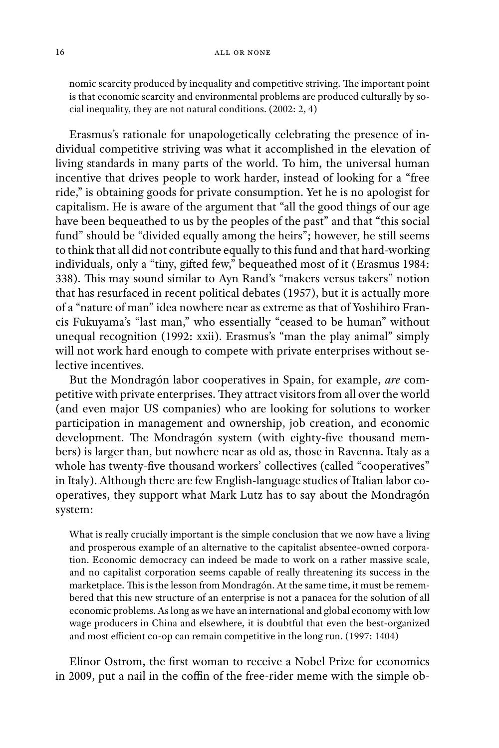nomic scarcity produced by inequality and competitive striving. The important point is that economic scarcity and environmental problems are produced culturally by social inequality, they are not natural conditions. (2002: 2, 4)

Erasmus's rationale for unapologetically celebrating the presence of individual competitive striving was what it accomplished in the elevation of living standards in many parts of the world. To him, the universal human incentive that drives people to work harder, instead of looking for a "free ride," is obtaining goods for private consumption. Yet he is no apologist for capitalism. He is aware of the argument that "all the good things of our age have been bequeathed to us by the peoples of the past" and that "this social fund" should be "divided equally among the heirs"; however, he still seems to think that all did not contribute equally to this fund and that hard-working individuals, only a "tiny, gifted few," bequeathed most of it (Erasmus 1984: 338). This may sound similar to Ayn Rand's "makers versus takers" notion that has resurfaced in recent political debates (1957), but it is actually more of a "nature of man" idea nowhere near as extreme as that of Yoshihiro Francis Fukuyama's "last man," who essentially "ceased to be human" without unequal recognition (1992: xxii). Erasmus's "man the play animal" simply will not work hard enough to compete with private enterprises without selective incentives.

But the Mondragón labor cooperatives in Spain, for example, *are* competitive with private enterprises. They attract visitors from all over the world (and even major US companies) who are looking for solutions to worker participation in management and ownership, job creation, and economic development. The Mondragón system (with eighty-five thousand members) is larger than, but nowhere near as old as, those in Ravenna. Italy as a whole has twenty-five thousand workers' collectives (called "cooperatives" in Italy). Although there are few English-language studies of Italian labor cooperatives, they support what Mark Lutz has to say about the Mondragón system:

What is really crucially important is the simple conclusion that we now have a living and prosperous example of an alternative to the capitalist absentee-owned corporation. Economic democracy can indeed be made to work on a rather massive scale, and no capitalist corporation seems capable of really threatening its success in the marketplace. This is the lesson from Mondragón. At the same time, it must be remembered that this new structure of an enterprise is not a panacea for the solution of all economic problems. As long as we have an international and global economy with low wage producers in China and elsewhere, it is doubtful that even the best-organized and most efficient co-op can remain competitive in the long run. (1997: 1404)

Elinor Ostrom, the first woman to receive a Nobel Prize for economics in 2009, put a nail in the coffin of the free-rider meme with the simple ob-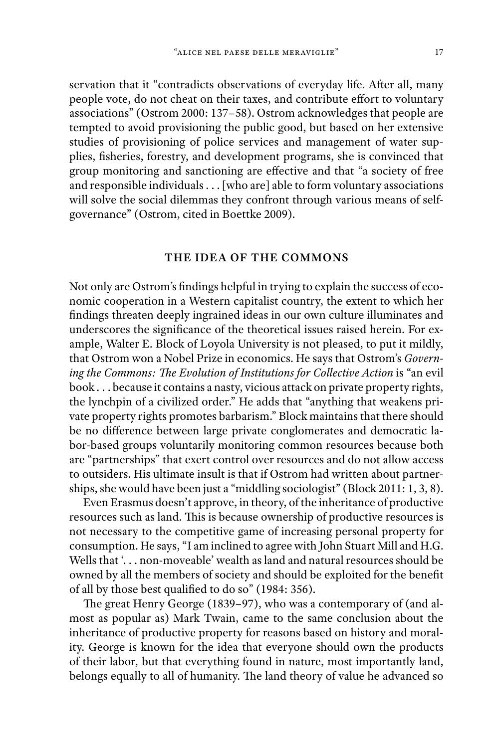servation that it "contradicts observations of everyday life. After all, many people vote, do not cheat on their taxes, and contribute effort to voluntary associations" (Ostrom 2000: 137–58). Ostrom acknowledges that people are tempted to avoid provisioning the public good, but based on her extensive studies of provisioning of police services and management of water supplies, fisheries, forestry, and development programs, she is convinced that group monitoring and sanctioning are effective and that "a society of free and responsible individuals . . . [who are] able to form voluntary associations will solve the social dilemmas they confront through various means of selfgovernance" (Ostrom, cited in Boettke 2009).

## **THE IDEA OF THE COMMONS**

Not only are Ostrom's findings helpful in trying to explain the success of economic cooperation in a Western capitalist country, the extent to which her findings threaten deeply ingrained ideas in our own culture illuminates and underscores the significance of the theoretical issues raised herein. For example, Walter E. Block of Loyola University is not pleased, to put it mildly, that Ostrom won a Nobel Prize in economics. He says that Ostrom's *Govern*ing the Commons: The Evolution of Institutions for Collective Action is "an evil book . . . because it contains a nasty, vicious attack on private property rights, the lynchpin of a civilized order." He adds that "anything that weakens private property rights promotes barbarism." Block maintains that there should be no difference between large private conglomerates and democratic labor-based groups voluntarily monitoring common resources because both are "partnerships" that exert control over resources and do not allow access to outsiders. His ultimate insult is that if Ostrom had written about partnerships, she would have been just a "middling sociologist" (Block 2011: 1, 3, 8).

Even Erasmus doesn't approve, in theory, of the inheritance of productive resources such as land. This is because ownership of productive resources is not necessary to the competitive game of increasing personal property for consumption. He says, "I am inclined to agree with John Stuart Mill and H.G. Wells that '... non-moveable' wealth as land and natural resources should be owned by all the members of society and should be exploited for the benefit of all by those best qualified to do so" (1984: 356).

The great Henry George (1839-97), who was a contemporary of (and almost as popular as) Mark Twain, came to the same conclusion about the inheritance of productive property for reasons based on history and morality. George is known for the idea that everyone should own the products of their labor, but that everything found in nature, most importantly land, belongs equally to all of humanity. The land theory of value he advanced so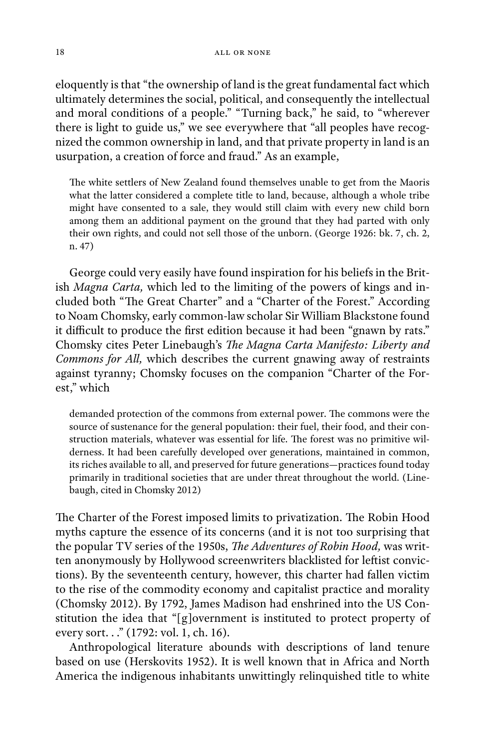eloquently is that "the ownership of land is the great fundamental fact which ultimately determines the social, political, and consequently the intellectual and moral conditions of a people." "Turning back," he said, to "wherever there is light to guide us," we see everywhere that "all peoples have recognized the common ownership in land, and that private property in land is an usurpation, a creation of force and fraud." As an example,

The white settlers of New Zealand found themselves unable to get from the Maoris what the latter considered a complete title to land, because, although a whole tribe might have consented to a sale, they would still claim with every new child born among them an additional payment on the ground that they had parted with only their own rights, and could not sell those of the unborn. (George 1926: bk. 7, ch. 2, n. 47)

George could very easily have found inspiration for his beliefs in the British *Magna Carta,* which led to the limiting of the powers of kings and included both "The Great Charter" and a "Charter of the Forest." According to Noam Chomsky, early common-law scholar Sir William Blackstone found it difficult to produce the first edition because it had been "gnawn by rats." Chomsky cites Peter Linebaugh's *The Magna Carta Manifesto: Liberty and Commons for All,* which describes the current gnawing away of restraints against tyranny; Chomsky focuses on the companion "Charter of the Forest," which

demanded protection of the commons from external power. The commons were the source of sustenance for the general population: their fuel, their food, and their construction materials, whatever was essential for life. The forest was no primitive wilderness. It had been carefully developed over generations, maintained in common, its riches available to all, and preserved for future generations—practices found today primarily in traditional societies that are under threat throughout the world. (Linebaugh, cited in Chomsky 2012)

The Charter of the Forest imposed limits to privatization. The Robin Hood myths capture the essence of its concerns (and it is not too surprising that the popular TV series of the 1950s, *The Adventures of Robin Hood*, was written anonymously by Hollywood screenwriters blacklisted for leftist convictions). By the seventeenth century, however, this charter had fallen victim to the rise of the commodity economy and capitalist practice and morality (Chomsky 2012). By 1792, James Madison had enshrined into the US Constitution the idea that "[g]overnment is instituted to protect property of every sort..." (1792: vol. 1, ch. 16).

Anthropological literature abounds with descriptions of land tenure based on use (Herskovits 1952). It is well known that in Africa and North America the indigenous inhabitants unwittingly relinquished title to white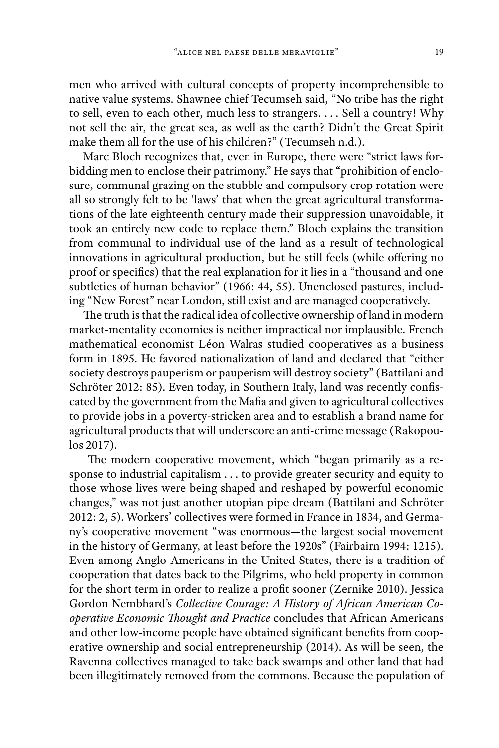men who arrived with cultural concepts of property incomprehensible to native value systems. Shawnee chief Tecumseh said, "No tribe has the right to sell, even to each other, much less to strangers. . . . Sell a country! Why not sell the air, the great sea, as well as the earth? Didn't the Great Spirit make them all for the use of his children?" (Tecumseh n.d.).

Marc Bloch recognizes that, even in Europe, there were "strict laws forbidding men to enclose their patrimony." He says that "prohibition of enclosure, communal grazing on the stubble and compulsory crop rotation were all so strongly felt to be 'laws' that when the great agricultural transformations of the late eighteenth century made their suppression unavoidable, it took an entirely new code to replace them." Bloch explains the transition from communal to individual use of the land as a result of technological innovations in agricultural production, but he still feels (while offering no proof or specifics) that the real explanation for it lies in a "thousand and one subtleties of human behavior" (1966: 44, 55). Unenclosed pastures, including "New Forest" near London, still exist and are managed cooperatively.

The truth is that the radical idea of collective ownership of land in modern market-mentality economies is neither impractical nor implausible. French mathematical economist Léon Walras studied cooperatives as a business form in 1895. He favored nationalization of land and declared that "either society destroys pauperism or pauperism will destroy society" (Battilani and Schröter 2012: 85). Even today, in Southern Italy, land was recently confiscated by the government from the Mafia and given to agricultural collectives to provide jobs in a poverty-stricken area and to establish a brand name for agricultural products that will underscore an anti-crime message (Rakopoulos 2017).

The modern cooperative movement, which "began primarily as a response to industrial capitalism . . . to provide greater security and equity to those whose lives were being shaped and reshaped by powerful economic changes," was not just another utopian pipe dream (Battilani and Schröter 2012: 2, 5). Workers' collectives were formed in France in 1834, and Germany's cooperative movement "was enormous—the largest social movement in the history of Germany, at least before the 1920s" (Fairbairn 1994: 1215). Even among Anglo-Americans in the United States, there is a tradition of cooperation that dates back to the Pilgrims, who held property in common for the short term in order to realize a profit sooner (Zernike 2010). Jessica Gordon Nembhard's Collective Courage: A History of African American Co*operative Economic Thought and Practice* concludes that African Americans and other low-income people have obtained significant benefits from cooperative ownership and social entrepreneurship (2014). As will be seen, the Ravenna collectives managed to take back swamps and other land that had been illegitimately removed from the commons. Because the population of